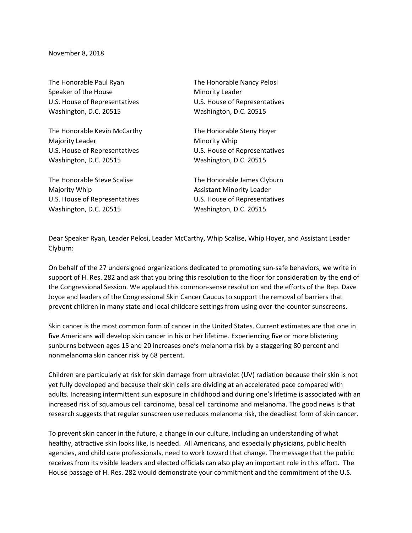November 8, 2018

Speaker of the House Minority Leader Washington, D.C. 20515 Washington, D.C. 20515

The Honorable Kevin McCarthy The Honorable Steny Hoyer Majority Leader **Minority Whip** U.S. House of Representatives U.S. House of Representatives Washington, D.C. 20515 Washington, D.C. 20515

The Honorable Steve Scalise The Honorable James Clyburn Majority Whip **Assistant Minority Leader** Washington, D.C. 20515 Washington, D.C. 20515

The Honorable Paul Ryan The Honorable Nancy Pelosi U.S. House of Representatives U.S. House of Representatives

U.S. House of Representatives U.S. House of Representatives

Dear Speaker Ryan, Leader Pelosi, Leader McCarthy, Whip Scalise, Whip Hoyer, and Assistant Leader Clyburn:

On behalf of the 27 undersigned organizations dedicated to promoting sun-safe behaviors, we write in support of H. Res. 282 and ask that you bring this resolution to the floor for consideration by the end of the Congressional Session. We applaud this common-sense resolution and the efforts of the Rep. Dave Joyce and leaders of the Congressional Skin Cancer Caucus to support the removal of barriers that prevent children in many state and local childcare settings from using over-the-counter sunscreens.

Skin cancer is the most common form of cancer in the United States. Current estimates are that one in five Americans will develop skin cancer in his or her lifetime. Experiencing five or more blistering sunburns between ages 15 and 20 increases one's melanoma risk by a staggering 80 percent and nonmelanoma skin cancer risk by 68 percent.

Children are particularly at risk for skin damage from ultraviolet (UV) radiation because their skin is not yet fully developed and because their skin cells are dividing at an accelerated pace compared with adults. Increasing intermittent sun exposure in childhood and during one's lifetime is associated with an increased risk of squamous cell carcinoma, basal cell carcinoma and melanoma. The good news is that research suggests that regular sunscreen use reduces melanoma risk, the deadliest form of skin cancer.

To prevent skin cancer in the future, a change in our culture, including an understanding of what healthy, attractive skin looks like, is needed. All Americans, and especially physicians, public health agencies, and child care professionals, need to work toward that change. The message that the public receives from its visible leaders and elected officials can also play an important role in this effort. The House passage of H. Res. 282 would demonstrate your commitment and the commitment of the U.S.